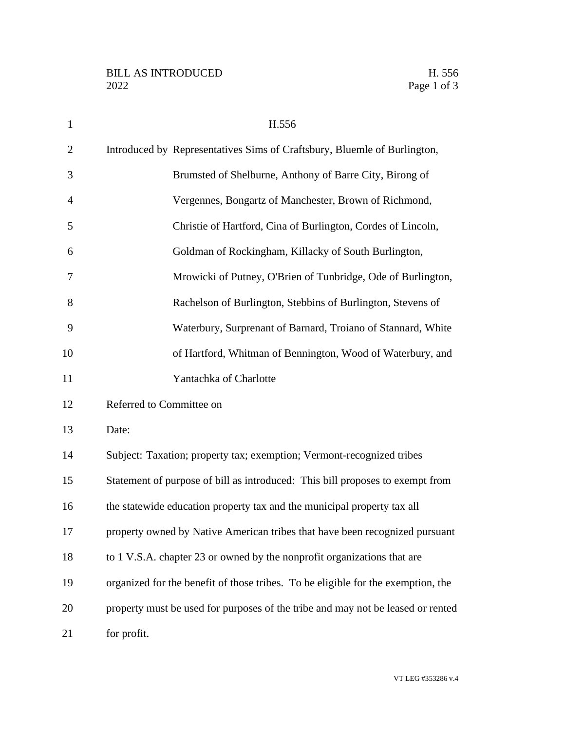| $\mathbf{1}$   | H.556                                                                            |
|----------------|----------------------------------------------------------------------------------|
| $\overline{2}$ | Introduced by Representatives Sims of Craftsbury, Bluemle of Burlington,         |
| 3              | Brumsted of Shelburne, Anthony of Barre City, Birong of                          |
| $\overline{4}$ | Vergennes, Bongartz of Manchester, Brown of Richmond,                            |
| 5              | Christie of Hartford, Cina of Burlington, Cordes of Lincoln,                     |
| 6              | Goldman of Rockingham, Killacky of South Burlington,                             |
| 7              | Mrowicki of Putney, O'Brien of Tunbridge, Ode of Burlington,                     |
| 8              | Rachelson of Burlington, Stebbins of Burlington, Stevens of                      |
| 9              | Waterbury, Surprenant of Barnard, Troiano of Stannard, White                     |
| 10             | of Hartford, Whitman of Bennington, Wood of Waterbury, and                       |
| 11             | Yantachka of Charlotte                                                           |
| 12             | Referred to Committee on                                                         |
| 13             | Date:                                                                            |
| 14             | Subject: Taxation; property tax; exemption; Vermont-recognized tribes            |
| 15             | Statement of purpose of bill as introduced: This bill proposes to exempt from    |
| 16             | the statewide education property tax and the municipal property tax all          |
| 17             | property owned by Native American tribes that have been recognized pursuant      |
| 18             | to 1 V.S.A. chapter 23 or owned by the nonprofit organizations that are          |
| 19             | organized for the benefit of those tribes. To be eligible for the exemption, the |
| 20             | property must be used for purposes of the tribe and may not be leased or rented  |
| 21             | for profit.                                                                      |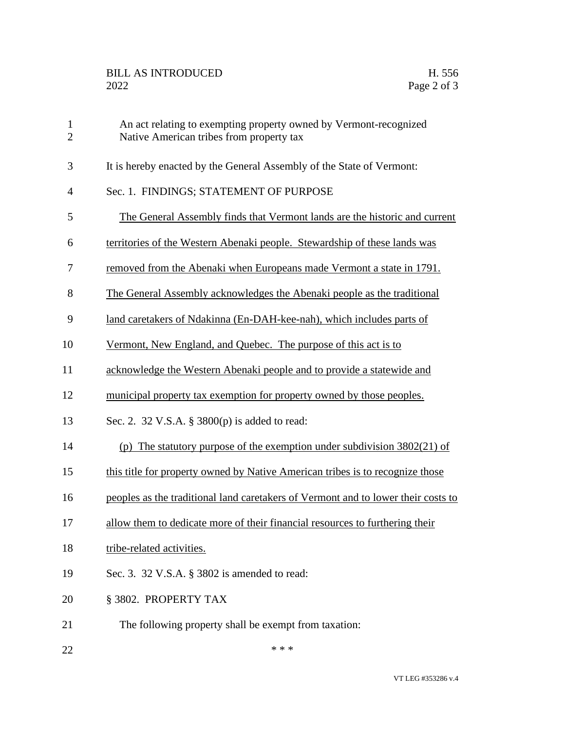| $\mathbf{1}$<br>$\overline{2}$ | An act relating to exempting property owned by Vermont-recognized<br>Native American tribes from property tax |
|--------------------------------|---------------------------------------------------------------------------------------------------------------|
| 3                              | It is hereby enacted by the General Assembly of the State of Vermont:                                         |
| $\overline{4}$                 | Sec. 1. FINDINGS; STATEMENT OF PURPOSE                                                                        |
| 5                              | The General Assembly finds that Vermont lands are the historic and current                                    |
| 6                              | territories of the Western Abenaki people. Stewardship of these lands was                                     |
| 7                              | removed from the Abenaki when Europeans made Vermont a state in 1791.                                         |
| 8                              | The General Assembly acknowledges the Abenaki people as the traditional                                       |
| 9                              | land caretakers of Ndakinna (En-DAH-kee-nah), which includes parts of                                         |
| 10                             | Vermont, New England, and Quebec. The purpose of this act is to                                               |
| 11                             | acknowledge the Western Abenaki people and to provide a statewide and                                         |
| 12                             | municipal property tax exemption for property owned by those peoples.                                         |
| 13                             | Sec. 2. 32 V.S.A. § 3800(p) is added to read:                                                                 |
| 14                             | (p) The statutory purpose of the exemption under subdivision $3802(21)$ of                                    |
| 15                             | this title for property owned by Native American tribes is to recognize those                                 |
| 16                             | peoples as the traditional land caretakers of Vermont and to lower their costs to                             |
| 17                             | allow them to dedicate more of their financial resources to furthering their                                  |
| 18                             | tribe-related activities.                                                                                     |
| 19                             | Sec. 3. 32 V.S.A. § 3802 is amended to read:                                                                  |
| 20                             | § 3802. PROPERTY TAX                                                                                          |
| 21                             | The following property shall be exempt from taxation:                                                         |
| 22                             | * * *                                                                                                         |